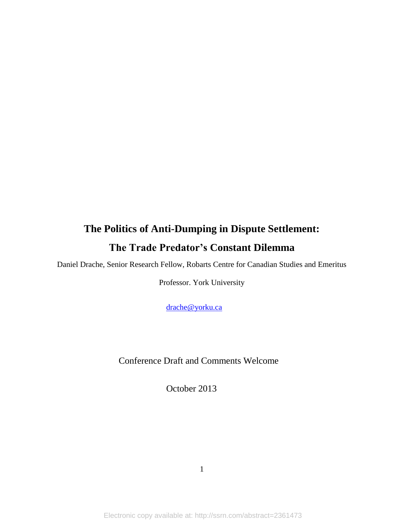# **The Politics of Anti-Dumping in Dispute Settlement: The Trade Predator's Constant Dilemma**

Daniel Drache, Senior Research Fellow, Robarts Centre for Canadian Studies and Emeritus

Professor. York University

[drache@yorku.ca](mailto:drache@yorku.ca)

Conference Draft and Comments Welcome

October 2013

1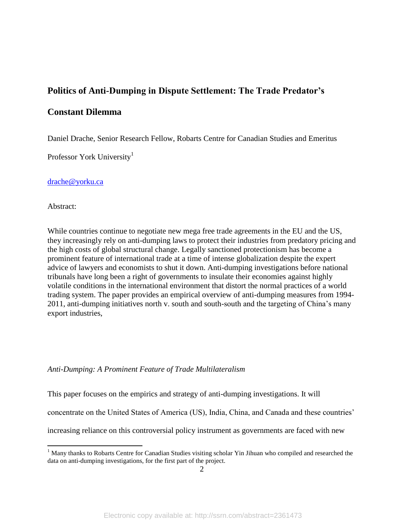# **Politics of Anti-Dumping in Dispute Settlement: The Trade Predator's**

# **Constant Dilemma**

Daniel Drache, Senior Research Fellow, Robarts Centre for Canadian Studies and Emeritus

Professor York University<sup>1</sup>

[drache@yorku.ca](mailto:drache@yorku.ca)

Abstract:

 $\overline{a}$ 

While countries continue to negotiate new mega free trade agreements in the EU and the US, they increasingly rely on anti-dumping laws to protect their industries from predatory pricing and the high costs of global structural change. Legally sanctioned protectionism has become a prominent feature of international trade at a time of intense globalization despite the expert advice of lawyers and economists to shut it down. Anti-dumping investigations before national tribunals have long been a right of governments to insulate their economies against highly volatile conditions in the international environment that distort the normal practices of a world trading system. The paper provides an empirical overview of anti-dumping measures from 1994- 2011, anti-dumping initiatives north v. south and south-south and the targeting of China's many export industries,

### *Anti-Dumping: A Prominent Feature of Trade Multilateralism*

This paper focuses on the empirics and strategy of anti-dumping investigations. It will

concentrate on the United States of America (US), India, China, and Canada and these countries'

increasing reliance on this controversial policy instrument as governments are faced with new

<sup>&</sup>lt;sup>1</sup> Many thanks to Robarts Centre for Canadian Studies visiting scholar Yin Jihuan who compiled and researched the data on anti-dumping investigations, for the first part of the project.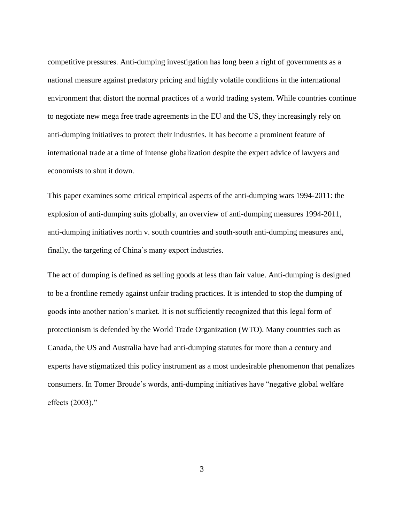competitive pressures. Anti-dumping investigation has long been a right of governments as a national measure against predatory pricing and highly volatile conditions in the international environment that distort the normal practices of a world trading system. While countries continue to negotiate new mega free trade agreements in the EU and the US, they increasingly rely on anti-dumping initiatives to protect their industries. It has become a prominent feature of international trade at a time of intense globalization despite the expert advice of lawyers and economists to shut it down.

This paper examines some critical empirical aspects of the anti-dumping wars 1994-2011: the explosion of anti-dumping suits globally, an overview of anti-dumping measures 1994-2011, anti-dumping initiatives north v. south countries and south-south anti-dumping measures and, finally, the targeting of China's many export industries.

The act of dumping is defined as selling goods at less than fair value. Anti-dumping is designed to be a frontline remedy against unfair trading practices. It is intended to stop the dumping of goods into another nation's market. It is not sufficiently recognized that this legal form of protectionism is defended by the World Trade Organization (WTO). Many countries such as Canada, the US and Australia have had anti-dumping statutes for more than a century and experts have stigmatized this policy instrument as a most undesirable phenomenon that penalizes consumers. In Tomer Broude's words, anti-dumping initiatives have "negative global welfare effects (2003)."

3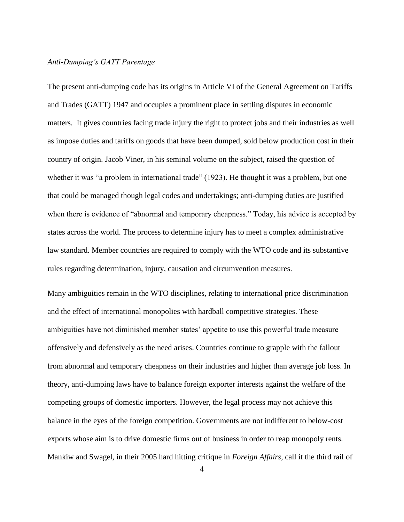# *Anti-Dumping's GATT Parentage*

The present anti-dumping code has its origins in Article VI of the General Agreement on Tariffs and Trades (GATT) 1947 and occupies a prominent place in settling disputes in economic matters. It gives countries facing trade injury the right to protect jobs and their industries as well as impose duties and tariffs on goods that have been dumped, sold below production cost in their country of origin. Jacob Viner, in his seminal volume on the subject, raised the question of whether it was "a problem in international trade" (1923). He thought it was a problem, but one that could be managed though legal codes and undertakings; anti-dumping duties are justified when there is evidence of "abnormal and temporary cheapness." Today, his advice is accepted by states across the world. The process to determine injury has to meet a complex administrative law standard. Member countries are required to comply with the WTO code and its substantive rules regarding determination, injury, causation and circumvention measures.

Many ambiguities remain in the WTO disciplines, relating to international price discrimination and the effect of international monopolies with hardball competitive strategies. These ambiguities have not diminished member states' appetite to use this powerful trade measure offensively and defensively as the need arises. Countries continue to grapple with the fallout from abnormal and temporary cheapness on their industries and higher than average job loss. In theory, anti-dumping laws have to balance foreign exporter interests against the welfare of the competing groups of domestic importers. However, the legal process may not achieve this balance in the eyes of the foreign competition. Governments are not indifferent to below-cost exports whose aim is to drive domestic firms out of business in order to reap monopoly rents. Mankiw and Swagel, in their 2005 hard hitting critique in *Foreign Affairs,* call it the third rail of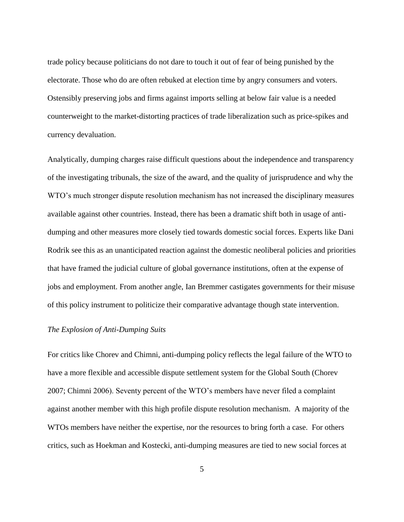trade policy because politicians do not dare to touch it out of fear of being punished by the electorate. Those who do are often rebuked at election time by angry consumers and voters. Ostensibly preserving jobs and firms against imports selling at below fair value is a needed counterweight to the market-distorting practices of trade liberalization such as price-spikes and currency devaluation.

Analytically, dumping charges raise difficult questions about the independence and transparency of the investigating tribunals, the size of the award, and the quality of jurisprudence and why the WTO's much stronger dispute resolution mechanism has not increased the disciplinary measures available against other countries. Instead, there has been a dramatic shift both in usage of antidumping and other measures more closely tied towards domestic social forces. Experts like Dani Rodrik see this as an unanticipated reaction against the domestic neoliberal policies and priorities that have framed the judicial culture of global governance institutions, often at the expense of jobs and employment. From another angle, Ian Bremmer castigates governments for their misuse of this policy instrument to politicize their comparative advantage though state intervention.

# *The Explosion of Anti-Dumping Suits*

For critics like Chorev and Chimni, anti-dumping policy reflects the legal failure of the WTO to have a more flexible and accessible dispute settlement system for the Global South (Chorev 2007; Chimni 2006). Seventy percent of the WTO's members have never filed a complaint against another member with this high profile dispute resolution mechanism. A majority of the WTOs members have neither the expertise, nor the resources to bring forth a case. For others critics, such as Hoekman and Kostecki, anti-dumping measures are tied to new social forces at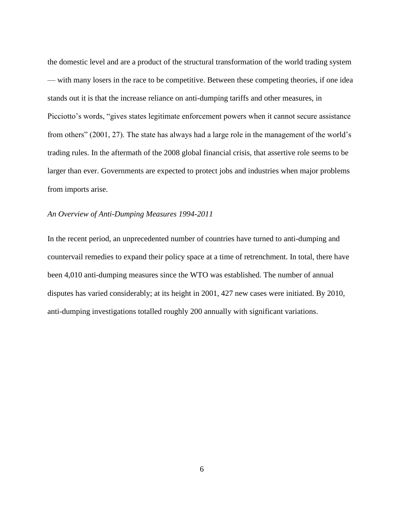the domestic level and are a product of the structural transformation of the world trading system — with many losers in the race to be competitive. Between these competing theories, if one idea stands out it is that the increase reliance on anti-dumping tariffs and other measures, in Picciotto's words, "gives states legitimate enforcement powers when it cannot secure assistance from others" (2001, 27). The state has always had a large role in the management of the world's trading rules. In the aftermath of the 2008 global financial crisis, that assertive role seems to be larger than ever. Governments are expected to protect jobs and industries when major problems from imports arise.

# *An Overview of Anti-Dumping Measures 1994-2011*

In the recent period, an unprecedented number of countries have turned to anti-dumping and countervail remedies to expand their policy space at a time of retrenchment. In total, there have been 4,010 anti-dumping measures since the WTO was established. The number of annual disputes has varied considerably; at its height in 2001, 427 new cases were initiated. By 2010, anti-dumping investigations totalled roughly 200 annually with significant variations.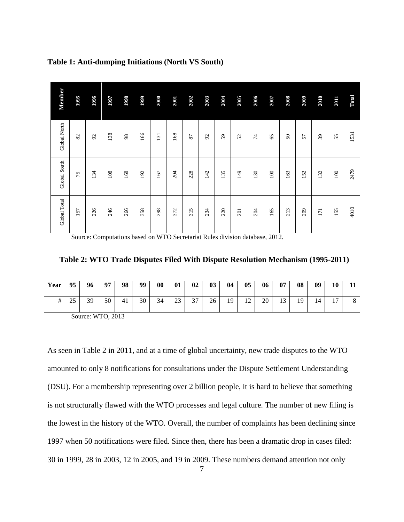| Member       | 1995   | 1996          | 1997 | 1998 | 1999 | 2000 | 2001 | 2002 | 2003 | 2004 | 2005 | 2006 | 2007 | 2008 | 2009 | 2010 | 2011 | Total |
|--------------|--------|---------------|------|------|------|------|------|------|------|------|------|------|------|------|------|------|------|-------|
| Global North | $82\,$ | $\mathcal{S}$ | 138  | 98   | 166  | 131  | 168  | 87   | 92   | 59   | 52   | 74   | 65   | 50   | 57   | 39   | 55   | 1531  |
| Global South | 75     | 134           | 108  | 168  | 192  | 167  | 204  | 228  | 142  | 135  | 149  | 130  | 100  | 163  | 152  | 132  | 100  | 2479  |
| Global Total | 157    | 226           | 246  | 266  | 358  | 298  | 372  | 315  | 234  | 220  | 201  | 204  | 165  | 213  | 209  | 171  | 155  | 4010  |

# **Table 1: Anti-dumping Initiations (North VS South)**

Source: Computations based on WTO Secretariat Rules division database, 2012.

**Table 2: WTO Trade Disputes Filed With Dispute Resolution Mechanism (1995-2011)**

| Year | 95                 | 96 | 07 | 98 | 99 | $\bf{00}$ | 01                   | 02        | 03 | 04 | 05 | 06 | 07        | 08 | 09 | 10             |  |
|------|--------------------|----|----|----|----|-----------|----------------------|-----------|----|----|----|----|-----------|----|----|----------------|--|
| #    | $\sim$ $\sim$<br>ت | 39 | 50 | 41 | 30 | 34        | $\mathcal{L}$<br>ر ے | 27<br>ا ب | 26 | 19 | 12 | 20 | 12<br>1 J | 10 | 14 | 1 <sub>7</sub> |  |

Source: WTO, 2013

As seen in Table 2 in 2011, and at a time of global uncertainty, new trade disputes to the WTO amounted to only 8 notifications for consultations under the Dispute Settlement Understanding (DSU). For a membership representing over 2 billion people, it is hard to believe that something is not structurally flawed with the WTO processes and legal culture. The number of new filing is the lowest in the history of the WTO. Overall, the number of complaints has been declining since 1997 when 50 notifications were filed. Since then, there has been a dramatic drop in cases filed: 30 in 1999, 28 in 2003, 12 in 2005, and 19 in 2009. These numbers demand attention not only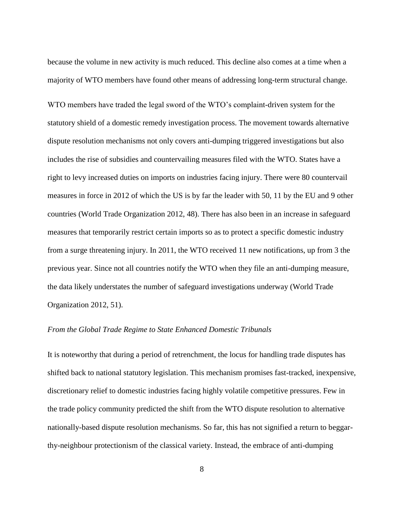because the volume in new activity is much reduced. This decline also comes at a time when a majority of WTO members have found other means of addressing long-term structural change.

WTO members have traded the legal sword of the WTO's complaint-driven system for the statutory shield of a domestic remedy investigation process. The movement towards alternative dispute resolution mechanisms not only covers anti-dumping triggered investigations but also includes the rise of subsidies and countervailing measures filed with the WTO. States have a right to levy increased duties on imports on industries facing injury. There were 80 countervail measures in force in 2012 of which the US is by far the leader with 50, 11 by the EU and 9 other countries (World Trade Organization 2012, 48). There has also been in an increase in safeguard measures that temporarily restrict certain imports so as to protect a specific domestic industry from a surge threatening injury. In 2011, the WTO received 11 new notifications, up from 3 the previous year. Since not all countries notify the WTO when they file an anti-dumping measure, the data likely understates the number of safeguard investigations underway (World Trade Organization 2012, 51).

#### *From the Global Trade Regime to State Enhanced Domestic Tribunals*

It is noteworthy that during a period of retrenchment, the locus for handling trade disputes has shifted back to national statutory legislation. This mechanism promises fast-tracked, inexpensive, discretionary relief to domestic industries facing highly volatile competitive pressures. Few in the trade policy community predicted the shift from the WTO dispute resolution to alternative nationally-based dispute resolution mechanisms. So far, this has not signified a return to beggarthy-neighbour protectionism of the classical variety. Instead, the embrace of anti-dumping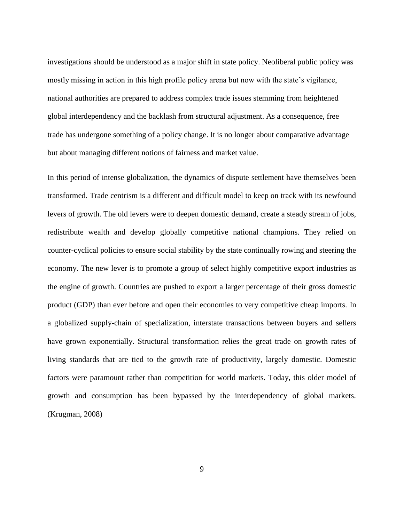investigations should be understood as a major shift in state policy. Neoliberal public policy was mostly missing in action in this high profile policy arena but now with the state's vigilance, national authorities are prepared to address complex trade issues stemming from heightened global interdependency and the backlash from structural adjustment. As a consequence, free trade has undergone something of a policy change. It is no longer about comparative advantage but about managing different notions of fairness and market value.

In this period of intense globalization, the dynamics of dispute settlement have themselves been transformed. Trade centrism is a different and difficult model to keep on track with its newfound levers of growth. The old levers were to deepen domestic demand, create a steady stream of jobs, redistribute wealth and develop globally competitive national champions. They relied on counter-cyclical policies to ensure social stability by the state continually rowing and steering the economy. The new lever is to promote a group of select highly competitive export industries as the engine of growth. Countries are pushed to export a larger percentage of their gross domestic product (GDP) than ever before and open their economies to very competitive cheap imports. In a globalized supply-chain of specialization, interstate transactions between buyers and sellers have grown exponentially. Structural transformation relies the great trade on growth rates of living standards that are tied to the growth rate of productivity, largely domestic. Domestic factors were paramount rather than competition for world markets. Today, this older model of growth and consumption has been bypassed by the interdependency of global markets. (Krugman, 2008)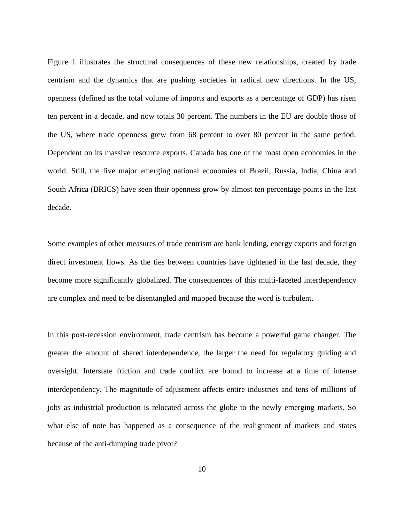Figure 1 illustrates the structural consequences of these new relationships, created by trade centrism and the dynamics that are pushing societies in radical new directions. In the US, openness (defined as the total volume of imports and exports as a percentage of GDP) has risen ten percent in a decade, and now totals 30 percent. The numbers in the EU are double those of the US, where trade openness grew from 68 percent to over 80 percent in the same period. Dependent on its massive resource exports, Canada has one of the most open economies in the world. Still, the five major emerging national economies of Brazil, Russia, India, China and South Africa (BRICS) have seen their openness grow by almost ten percentage points in the last decade.

Some examples of other measures of trade centrism are bank lending, energy exports and foreign direct investment flows. As the ties between countries have tightened in the last decade, they become more significantly globalized. The consequences of this multi-faceted interdependency are complex and need to be disentangled and mapped because the word is turbulent.

In this post-recession environment, trade centrism has become a powerful game changer. The greater the amount of shared interdependence, the larger the need for regulatory guiding and oversight. Interstate friction and trade conflict are bound to increase at a time of intense interdependency. The magnitude of adjustment affects entire industries and tens of millions of jobs as industrial production is relocated across the globe to the newly emerging markets. So what else of note has happened as a consequence of the realignment of markets and states because of the anti-dumping trade pivot?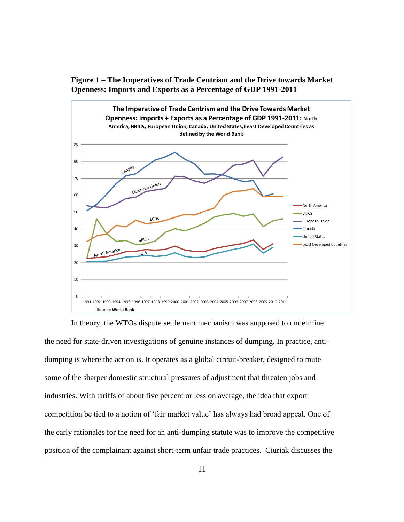



In theory, the WTOs dispute settlement mechanism was supposed to undermine the need for state-driven investigations of genuine instances of dumping. In practice, antidumping is where the action is. It operates as a global circuit-breaker, designed to mute some of the sharper domestic structural pressures of adjustment that threaten jobs and industries. With tariffs of about five percent or less on average, the idea that export competition be tied to a notion of 'fair market value' has always had broad appeal. One of the early rationales for the need for an anti-dumping statute was to improve the competitive position of the complainant against short-term unfair trade practices. Ciuriak discusses the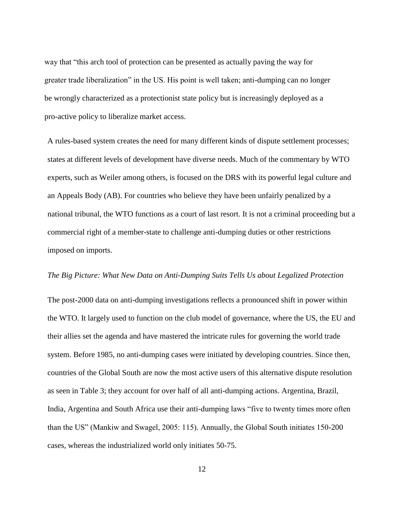way that "this arch tool of protection can be presented as actually paving the way for greater trade liberalization" in the US. His point is well taken; anti-dumping can no longer be wrongly characterized as a protectionist state policy but is increasingly deployed as a pro-active policy to liberalize market access.

A rules-based system creates the need for many different kinds of dispute settlement processes; states at different levels of development have diverse needs. Much of the commentary by WTO experts, such as Weiler among others, is focused on the DRS with its powerful legal culture and an Appeals Body (AB). For countries who believe they have been unfairly penalized by a national tribunal, the WTO functions as a court of last resort. It is not a criminal proceeding but a commercial right of a member-state to challenge anti-dumping duties or other restrictions imposed on imports.

# *The Big Picture: What New Data on Anti-Dumping Suits Tells Us about Legalized Protection*

The post-2000 data on anti-dumping investigations reflects a pronounced shift in power within the WTO. It largely used to function on the club model of governance, where the US, the EU and their allies set the agenda and have mastered the intricate rules for governing the world trade system. Before 1985, no anti-dumping cases were initiated by developing countries. Since then, countries of the Global South are now the most active users of this alternative dispute resolution as seen in Table 3; they account for over half of all anti-dumping actions. Argentina, Brazil, India, Argentina and South Africa use their anti-dumping laws "five to twenty times more often than the US" (Mankiw and Swagel, 2005: 115). Annually, the Global South initiates 150-200 cases, whereas the industrialized world only initiates 50-75.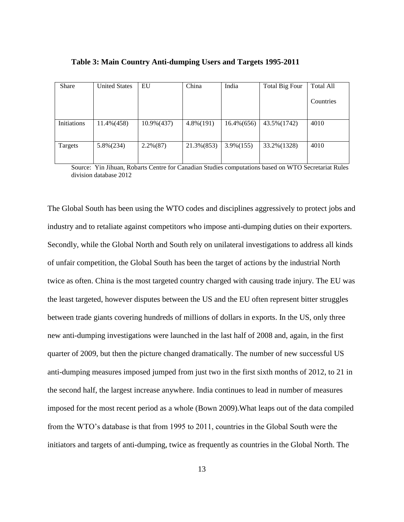| <b>Share</b> | <b>United States</b> | EU            | China        | India         | Total Big Four | <b>Total All</b> |
|--------------|----------------------|---------------|--------------|---------------|----------------|------------------|
|              |                      |               |              |               |                | Countries        |
| Initiations  | $11.4\% (458)$       | $10.9\%(437)$ | $4.8\%(191)$ | $16.4\%(656)$ | 43.5% (1742)   | 4010             |
| Targets      | $5.8\%(234)$         | $2.2\%(87)$   | 21.3% (853)  | $3.9\%(155)$  | 33.2% (1328)   | 4010             |

**Table 3: Main Country Anti-dumping Users and Targets 1995-2011**

Source: Yin Jihuan, Robarts Centre for Canadian Studies computations based on WTO Secretariat Rules division database 2012

The Global South has been using the WTO codes and disciplines aggressively to protect jobs and industry and to retaliate against competitors who impose anti-dumping duties on their exporters. Secondly, while the Global North and South rely on unilateral investigations to address all kinds of unfair competition, the Global South has been the target of actions by the industrial North twice as often. China is the most targeted country charged with causing trade injury. The EU was the least targeted, however disputes between the US and the EU often represent bitter struggles between trade giants covering hundreds of millions of dollars in exports. In the US, only three new anti-dumping investigations were launched in the last half of 2008 and, again, in the first quarter of 2009, but then the picture changed dramatically. The number of new successful US anti-dumping measures imposed jumped from just two in the first sixth months of 2012, to 21 in the second half, the largest increase anywhere. India continues to lead in number of measures imposed for the most recent period as a whole (Bown 2009).What leaps out of the data compiled from the WTO's database is that from 1995 to 2011, countries in the Global South were the initiators and targets of anti-dumping, twice as frequently as countries in the Global North. The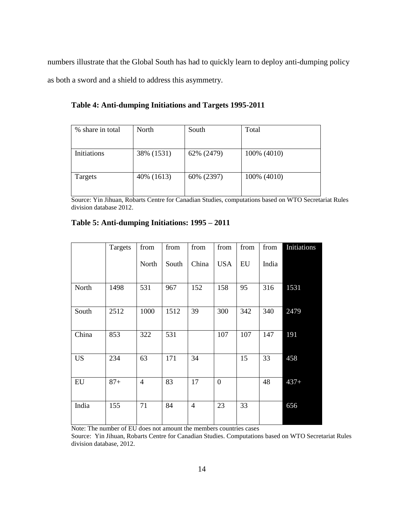numbers illustrate that the Global South has had to quickly learn to deploy anti-dumping policy as both a sword and a shield to address this asymmetry.

**Table 4: Anti-dumping Initiations and Targets 1995-2011**

| % share in total   | North      | South      | Total       |
|--------------------|------------|------------|-------------|
|                    |            |            |             |
|                    |            |            |             |
| <b>Initiations</b> | 38% (1531) | 62% (2479) | 100% (4010) |
|                    |            |            |             |
|                    |            |            |             |
| Targets            | 40% (1613) | 60% (2397) | 100% (4010) |
|                    |            |            |             |
|                    |            |            |             |

Source: Yin Jihuan, Robarts Centre for Canadian Studies, computations based on WTO Secretariat Rules division database 2012.

|  |  |  | Table 5: Anti-dumping Initiations: 1995 – 2011 |
|--|--|--|------------------------------------------------|
|--|--|--|------------------------------------------------|

|                 | Targets                 | from           | from  | from           | from         | from | from  | Initiations |
|-----------------|-------------------------|----------------|-------|----------------|--------------|------|-------|-------------|
|                 |                         | North          | South | China          | <b>USA</b>   | EU   | India |             |
| North           | 1498                    | 531            | 967   | 152            | 158          | 95   | 316   | 1531        |
| South           | 2512                    | 1000           | 1512  | 39             | 300          | 342  | 340   | 2479        |
| China           | 853                     | 322            | 531   |                | 107          | 107  | 147   | 191         |
| <b>US</b>       | 234                     | 63             | 171   | 34             |              | 15   | 33    | 458         |
| EU              | $87 +$                  | $\overline{4}$ | 83    | 17             | $\mathbf{0}$ |      | 48    | $437+$      |
| India<br>$\sim$ | 155<br>$\sim$ – – – – – | 71             | 84    | $\overline{4}$ | 23           | 33   |       | 656         |

Note: The number of EU does not amount the members countries cases

Source: Yin Jihuan, Robarts Centre for Canadian Studies. Computations based on WTO Secretariat Rules division database, 2012.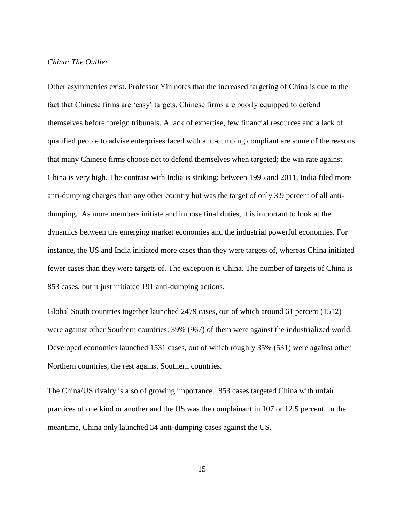# *China: The Outlier*

Other asymmetries exist. Professor Yin notes that the increased targeting of China is due to the fact that Chinese firms are 'easy' targets. Chinese firms are poorly equipped to defend themselves before foreign tribunals. A lack of expertise, few financial resources and a lack of qualified people to advise enterprises faced with anti-dumping compliant are some of the reasons that many Chinese firms choose not to defend themselves when targeted; the win rate against China is very high. The contrast with India is striking; between 1995 and 2011, India filed more anti-dumping charges than any other country but was the target of only 3.9 percent of all antidumping. As more members initiate and impose final duties, it is important to look at the dynamics between the emerging market economies and the industrial powerful economies. For instance, the US and India initiated more cases than they were targets of, whereas China initiated fewer cases than they were targets of. The exception is China. The number of targets of China is 853 cases, but it just initiated 191 anti-dumping actions.

Global South countries together launched 2479 cases, out of which around 61 percent (1512) were against other Southern countries; 39% (967) of them were against the industrialized world. Developed economies launched 1531 cases, out of which roughly 35% (531) were against other Northern countries, the rest against Southern countries.

The China/US rivalry is also of growing importance. 853 cases targeted China with unfair practices of one kind or another and the US was the complainant in 107 or 12.5 percent. In the meantime, China only launched 34 anti-dumping cases against the US.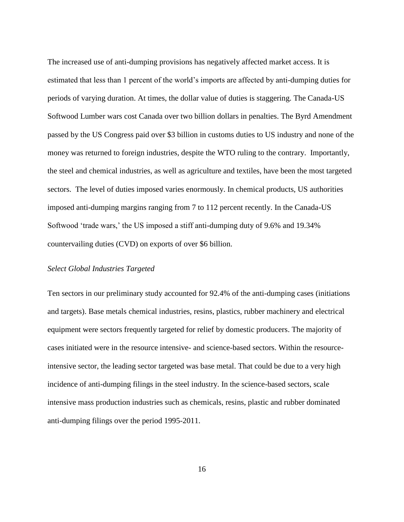The increased use of anti-dumping provisions has negatively affected market access. It is estimated that less than 1 percent of the world's imports are affected by anti-dumping duties for periods of varying duration. At times, the dollar value of duties is staggering. The Canada-US Softwood Lumber wars cost Canada over two billion dollars in penalties. The Byrd Amendment passed by the US Congress paid over \$3 billion in customs duties to US industry and none of the money was returned to foreign industries, despite the WTO ruling to the contrary. Importantly, the steel and chemical industries, as well as agriculture and textiles, have been the most targeted sectors. The level of duties imposed varies enormously. In chemical products, US authorities imposed anti-dumping margins ranging from 7 to 112 percent recently. In the Canada-US Softwood 'trade wars,' the US imposed a stiff anti-dumping duty of 9.6% and 19.34% countervailing duties (CVD) on exports of over \$6 billion.

#### *Select Global Industries Targeted*

Ten sectors in our preliminary study accounted for 92.4% of the anti-dumping cases (initiations and targets). Base metals chemical industries, resins, plastics, rubber machinery and electrical equipment were sectors frequently targeted for relief by domestic producers. The majority of cases initiated were in the resource intensive- and science-based sectors. Within the resourceintensive sector, the leading sector targeted was base metal. That could be due to a very high incidence of anti-dumping filings in the steel industry. In the science-based sectors, scale intensive mass production industries such as chemicals, resins, plastic and rubber dominated anti-dumping filings over the period 1995-2011.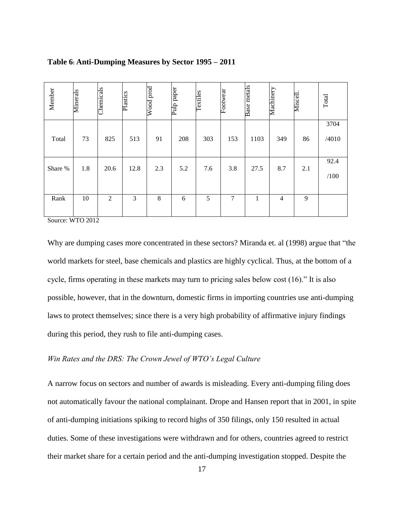| Member  | <b>Minerals</b> | Chemicals | Plastics | $\operatorname{Wood}$ prod | Pulp paper | <b>Textiles</b> | Footwear | <b>Base</b> metals | Machinery      | Miscell | Total |
|---------|-----------------|-----------|----------|----------------------------|------------|-----------------|----------|--------------------|----------------|---------|-------|
|         |                 |           |          |                            |            |                 |          |                    |                |         | 3704  |
| Total   | 73              | 825       | 513      | 91                         | 208        | 303             | 153      | 1103               | 349            | 86      | /4010 |
|         |                 |           |          |                            |            |                 |          |                    |                |         |       |
| Share % | 1.8             | 20.6      | 12.8     | 2.3                        | 5.2        | 7.6             | 3.8      | 27.5               | 8.7            | 2.1     | 92.4  |
|         |                 |           |          |                            |            |                 |          |                    |                |         | /100  |
|         |                 |           |          |                            |            |                 |          |                    |                |         |       |
| Rank    | 10              | 2         | 3        | 8                          | 6          | 5               | 7        | 1                  | $\overline{4}$ | 9       |       |
|         |                 |           |          |                            |            |                 |          |                    |                |         |       |

# **Table 6: Anti-Dumping Measures by Sector 1995 – 2011**

Source: WTO 2012

Why are dumping cases more concentrated in these sectors? Miranda et. al (1998) argue that "the world markets for steel, base chemicals and plastics are highly cyclical. Thus, at the bottom of a cycle, firms operating in these markets may turn to pricing sales below cost (16)." It is also possible, however, that in the downturn, domestic firms in importing countries use anti-dumping laws to protect themselves; since there is a very high probability of affirmative injury findings during this period, they rush to file anti-dumping cases.

# *Win Rates and the DRS: The Crown Jewel of WTO's Legal Culture*

A narrow focus on sectors and number of awards is misleading. Every anti-dumping filing does not automatically favour the national complainant. Drope and Hansen report that in 2001, in spite of anti-dumping initiations spiking to record highs of 350 filings, only 150 resulted in actual duties. Some of these investigations were withdrawn and for others, countries agreed to restrict their market share for a certain period and the anti-dumping investigation stopped. Despite the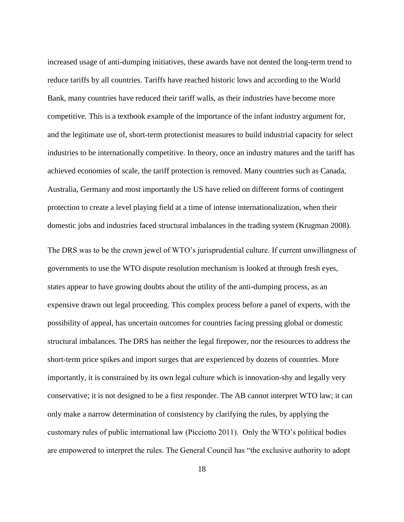increased usage of anti-dumping initiatives, these awards have not dented the long-term trend to reduce tariffs by all countries. Tariffs have reached historic lows and according to the World Bank, many countries have reduced their tariff walls, as their industries have become more competitive. This is a textbook example of the importance of the infant industry argument for, and the legitimate use of, short-term protectionist measures to build industrial capacity for select industries to be internationally competitive. In theory, once an industry matures and the tariff has achieved economies of scale, the tariff protection is removed. Many countries such as Canada, Australia, Germany and most importantly the US have relied on different forms of contingent protection to create a level playing field at a time of intense internationalization, when their domestic jobs and industries faced structural imbalances in the trading system (Krugman 2008).

The DRS was to be the crown jewel of WTO's jurisprudential culture. If current unwillingness of governments to use the WTO dispute resolution mechanism is looked at through fresh eyes, states appear to have growing doubts about the utility of the anti-dumping process, as an expensive drawn out legal proceeding. This complex process before a panel of experts, with the possibility of appeal, has uncertain outcomes for countries facing pressing global or domestic structural imbalances. The DRS has neither the legal firepower, nor the resources to address the short-term price spikes and import surges that are experienced by dozens of countries. More importantly, it is constrained by its own legal culture which is innovation-shy and legally very conservative; it is not designed to be a first responder. The AB cannot interpret WTO law; it can only make a narrow determination of consistency by clarifying the rules, by applying the customary rules of public international law (Picciotto 2011). Only the WTO's political bodies are empowered to interpret the rules. The General Council has "the exclusive authority to adopt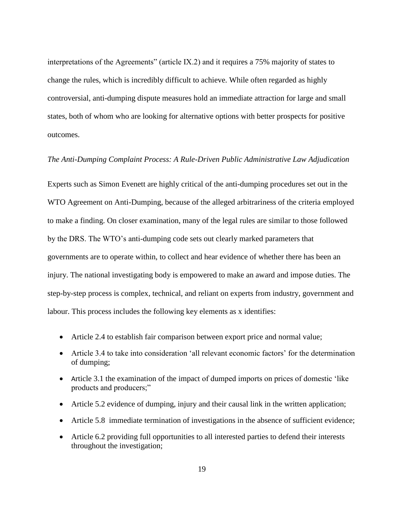interpretations of the Agreements" (article IX.2) and it requires a 75% majority of states to change the rules, which is incredibly difficult to achieve. While often regarded as highly controversial, anti-dumping dispute measures hold an immediate attraction for large and small states, both of whom who are looking for alternative options with better prospects for positive outcomes.

## *The Anti-Dumping Complaint Process: A Rule-Driven Public Administrative Law Adjudication*

Experts such as Simon Evenett are highly critical of the anti-dumping procedures set out in the WTO Agreement on Anti-Dumping, because of the alleged arbitrariness of the criteria employed to make a finding. On closer examination, many of the legal rules are similar to those followed by the DRS. The WTO's anti-dumping code sets out clearly marked parameters that governments are to operate within, to collect and hear evidence of whether there has been an injury. The national investigating body is empowered to make an award and impose duties. The step-by-step process is complex, technical, and reliant on experts from industry, government and labour. This process includes the following key elements as x identifies:

- Article 2.4 to establish fair comparison between export price and normal value;
- Article 3.4 to take into consideration 'all relevant economic factors' for the determination of dumping;
- Article 3.1 the examination of the impact of dumped imports on prices of domestic 'like products and producers;"
- Article 5.2 evidence of dumping, injury and their causal link in the written application;
- Article 5.8 immediate termination of investigations in the absence of sufficient evidence;
- Article 6.2 providing full opportunities to all interested parties to defend their interests throughout the investigation;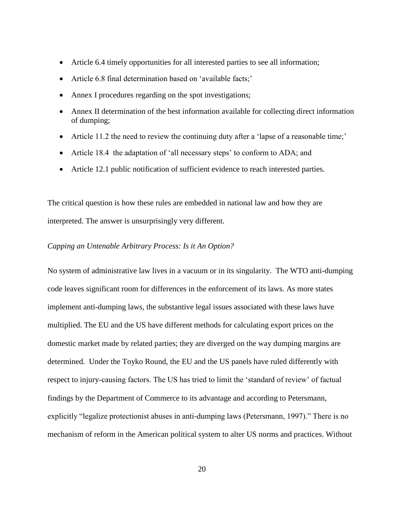- Article 6.4 timely opportunities for all interested parties to see all information;
- Article 6.8 final determination based on 'available facts;'
- Annex I procedures regarding on the spot investigations;
- Annex II determination of the best information available for collecting direct information of dumping;
- Article 11.2 the need to review the continuing duty after a 'lapse of a reasonable time;'
- Article 18.4 the adaptation of 'all necessary steps' to conform to ADA; and
- Article 12.1 public notification of sufficient evidence to reach interested parties.

The critical question is how these rules are embedded in national law and how they are interpreted. The answer is unsurprisingly very different.

# *Capping an Untenable Arbitrary Process: Is it An Option?*

No system of administrative law lives in a vacuum or in its singularity. The WTO anti-dumping code leaves significant room for differences in the enforcement of its laws. As more states implement anti-dumping laws, the substantive legal issues associated with these laws have multiplied. The EU and the US have different methods for calculating export prices on the domestic market made by related parties; they are diverged on the way dumping margins are determined. Under the Toyko Round, the EU and the US panels have ruled differently with respect to injury-causing factors. The US has tried to limit the 'standard of review' of factual findings by the Department of Commerce to its advantage and according to Petersmann, explicitly "legalize protectionist abuses in anti-dumping laws (Petersmann, 1997)." There is no mechanism of reform in the American political system to alter US norms and practices. Without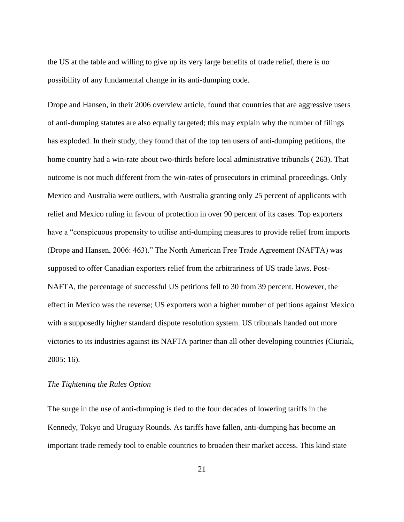the US at the table and willing to give up its very large benefits of trade relief, there is no possibility of any fundamental change in its anti-dumping code.

Drope and Hansen, in their 2006 overview article, found that countries that are aggressive users of anti-dumping statutes are also equally targeted; this may explain why the number of filings has exploded. In their study, they found that of the top ten users of anti-dumping petitions, the home country had a win-rate about two-thirds before local administrative tribunals ( 263). That outcome is not much different from the win-rates of prosecutors in criminal proceedings. Only Mexico and Australia were outliers, with Australia granting only 25 percent of applicants with relief and Mexico ruling in favour of protection in over 90 percent of its cases. Top exporters have a "conspicuous propensity to utilise anti-dumping measures to provide relief from imports (Drope and Hansen, 2006: 463)." The North American Free Trade Agreement (NAFTA) was supposed to offer Canadian exporters relief from the arbitrariness of US trade laws. Post-NAFTA, the percentage of successful US petitions fell to 30 from 39 percent. However, the effect in Mexico was the reverse; US exporters won a higher number of petitions against Mexico with a supposedly higher standard dispute resolution system. US tribunals handed out more victories to its industries against its NAFTA partner than all other developing countries (Ciuriak, 2005: 16).

# *The Tightening the Rules Option*

The surge in the use of anti-dumping is tied to the four decades of lowering tariffs in the Kennedy, Tokyo and Uruguay Rounds. As tariffs have fallen, anti-dumping has become an important trade remedy tool to enable countries to broaden their market access. This kind state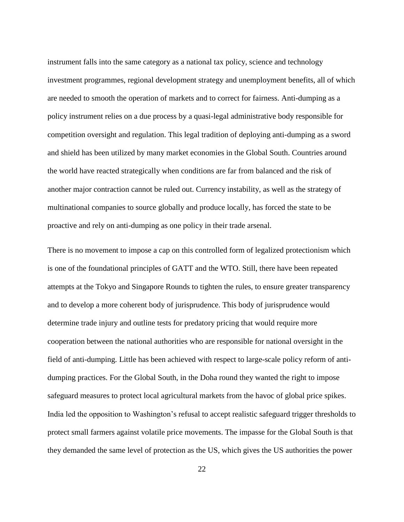instrument falls into the same category as a national tax policy, science and technology investment programmes, regional development strategy and unemployment benefits, all of which are needed to smooth the operation of markets and to correct for fairness. Anti-dumping as a policy instrument relies on a due process by a quasi-legal administrative body responsible for competition oversight and regulation. This legal tradition of deploying anti-dumping as a sword and shield has been utilized by many market economies in the Global South. Countries around the world have reacted strategically when conditions are far from balanced and the risk of another major contraction cannot be ruled out. Currency instability, as well as the strategy of multinational companies to source globally and produce locally, has forced the state to be proactive and rely on anti-dumping as one policy in their trade arsenal.

There is no movement to impose a cap on this controlled form of legalized protectionism which is one of the foundational principles of GATT and the WTO. Still, there have been repeated attempts at the Tokyo and Singapore Rounds to tighten the rules, to ensure greater transparency and to develop a more coherent body of jurisprudence. This body of jurisprudence would determine trade injury and outline tests for predatory pricing that would require more cooperation between the national authorities who are responsible for national oversight in the field of anti-dumping. Little has been achieved with respect to large-scale policy reform of antidumping practices. For the Global South, in the Doha round they wanted the right to impose safeguard measures to protect local agricultural markets from the havoc of global price spikes. India led the opposition to Washington's refusal to accept realistic safeguard trigger thresholds to protect small farmers against volatile price movements. The impasse for the Global South is that they demanded the same level of protection as the US, which gives the US authorities the power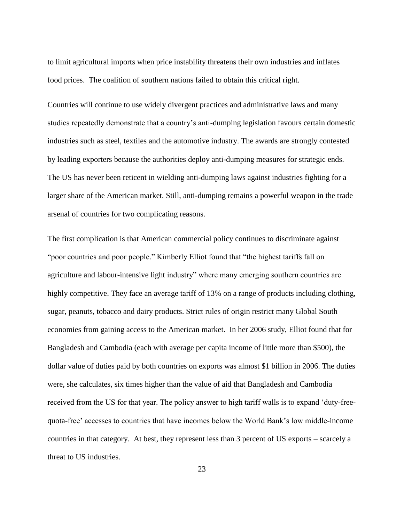to limit agricultural imports when price instability threatens their own industries and inflates food prices. The coalition of southern nations failed to obtain this critical right.

Countries will continue to use widely divergent practices and administrative laws and many studies repeatedly demonstrate that a country's anti-dumping legislation favours certain domestic industries such as steel, textiles and the automotive industry. The awards are strongly contested by leading exporters because the authorities deploy anti-dumping measures for strategic ends. The US has never been reticent in wielding anti-dumping laws against industries fighting for a larger share of the American market. Still, anti-dumping remains a powerful weapon in the trade arsenal of countries for two complicating reasons.

The first complication is that American commercial policy continues to discriminate against "poor countries and poor people." Kimberly Elliot found that "the highest tariffs fall on agriculture and labour-intensive light industry" where many emerging southern countries are highly competitive. They face an average tariff of 13% on a range of products including clothing, sugar, peanuts, tobacco and dairy products. Strict rules of origin restrict many Global South economies from gaining access to the American market. In her 2006 study, Elliot found that for Bangladesh and Cambodia (each with average per capita income of little more than \$500), the dollar value of duties paid by both countries on exports was almost \$1 billion in 2006. The duties were, she calculates, six times higher than the value of aid that Bangladesh and Cambodia received from the US for that year. The policy answer to high tariff walls is to expand 'duty-freequota-free' accesses to countries that have incomes below the World Bank's low middle-income countries in that category. At best, they represent less than 3 percent of US exports – scarcely a threat to US industries.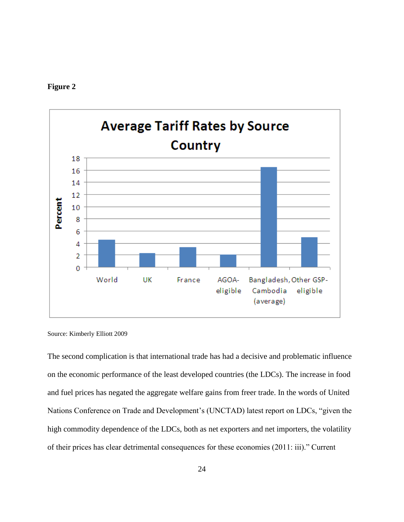



Source: Kimberly Elliott 2009

The second complication is that international trade has had a decisive and problematic influence on the economic performance of the least developed countries (the LDCs). The increase in food and fuel prices has negated the aggregate welfare gains from freer trade. In the words of United Nations Conference on Trade and Development's (UNCTAD) latest report on LDCs, "given the high commodity dependence of the LDCs, both as net exporters and net importers, the volatility of their prices has clear detrimental consequences for these economies (2011: iii)." Current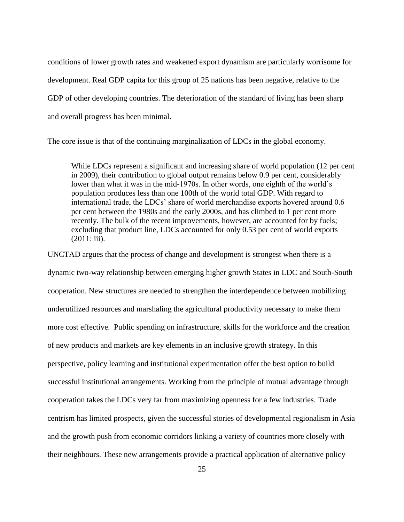conditions of lower growth rates and weakened export dynamism are particularly worrisome for development. Real GDP capita for this group of 25 nations has been negative, relative to the GDP of other developing countries. The deterioration of the standard of living has been sharp and overall progress has been minimal.

The core issue is that of the continuing marginalization of LDCs in the global economy.

While LDCs represent a significant and increasing share of world population (12 per cent in 2009), their contribution to global output remains below 0.9 per cent, considerably lower than what it was in the mid-1970s. In other words, one eighth of the world's population produces less than one 100th of the world total GDP. With regard to international trade, the LDCs' share of world merchandise exports hovered around 0.6 per cent between the 1980s and the early 2000s, and has climbed to 1 per cent more recently. The bulk of the recent improvements, however, are accounted for by fuels; excluding that product line, LDCs accounted for only 0.53 per cent of world exports (2011: iii).

UNCTAD argues that the process of change and development is strongest when there is a dynamic two-way relationship between emerging higher growth States in LDC and South-South cooperation. New structures are needed to strengthen the interdependence between mobilizing underutilized resources and marshaling the agricultural productivity necessary to make them more cost effective. Public spending on infrastructure, skills for the workforce and the creation of new products and markets are key elements in an inclusive growth strategy. In this perspective, policy learning and institutional experimentation offer the best option to build successful institutional arrangements. Working from the principle of mutual advantage through cooperation takes the LDCs very far from maximizing openness for a few industries. Trade centrism has limited prospects, given the successful stories of developmental regionalism in Asia and the growth push from economic corridors linking a variety of countries more closely with their neighbours. These new arrangements provide a practical application of alternative policy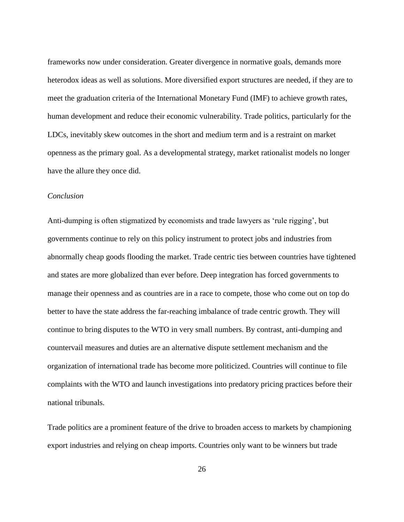frameworks now under consideration. Greater divergence in normative goals, demands more heterodox ideas as well as solutions. More diversified export structures are needed, if they are to meet the graduation criteria of the International Monetary Fund (IMF) to achieve growth rates, human development and reduce their economic vulnerability. Trade politics, particularly for the LDCs, inevitably skew outcomes in the short and medium term and is a restraint on market openness as the primary goal. As a developmental strategy, market rationalist models no longer have the allure they once did.

# *Conclusion*

Anti-dumping is often stigmatized by economists and trade lawyers as 'rule rigging', but governments continue to rely on this policy instrument to protect jobs and industries from abnormally cheap goods flooding the market. Trade centric ties between countries have tightened and states are more globalized than ever before. Deep integration has forced governments to manage their openness and as countries are in a race to compete, those who come out on top do better to have the state address the far-reaching imbalance of trade centric growth. They will continue to bring disputes to the WTO in very small numbers. By contrast, anti-dumping and countervail measures and duties are an alternative dispute settlement mechanism and the organization of international trade has become more politicized. Countries will continue to file complaints with the WTO and launch investigations into predatory pricing practices before their national tribunals.

Trade politics are a prominent feature of the drive to broaden access to markets by championing export industries and relying on cheap imports. Countries only want to be winners but trade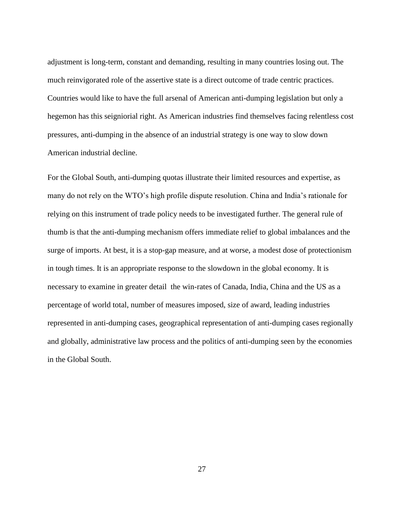adjustment is long-term, constant and demanding, resulting in many countries losing out. The much reinvigorated role of the assertive state is a direct outcome of trade centric practices. Countries would like to have the full arsenal of American anti-dumping legislation but only a hegemon has this seigniorial right. As American industries find themselves facing relentless cost pressures, anti-dumping in the absence of an industrial strategy is one way to slow down American industrial decline.

For the Global South, anti-dumping quotas illustrate their limited resources and expertise, as many do not rely on the WTO's high profile dispute resolution. China and India's rationale for relying on this instrument of trade policy needs to be investigated further. The general rule of thumb is that the anti-dumping mechanism offers immediate relief to global imbalances and the surge of imports. At best, it is a stop-gap measure, and at worse, a modest dose of protectionism in tough times. It is an appropriate response to the slowdown in the global economy. It is necessary to examine in greater detail the win-rates of Canada, India, China and the US as a percentage of world total, number of measures imposed, size of award, leading industries represented in anti-dumping cases, geographical representation of anti-dumping cases regionally and globally, administrative law process and the politics of anti-dumping seen by the economies in the Global South.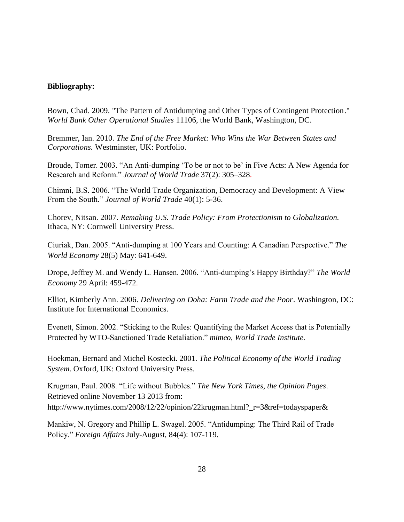# **Bibliography:**

Bown, Chad. 2009. "The Pattern of Antidumping and Other Types of Contingent Protection." *World Bank Other Operational Studies* 11106, the World Bank, Washington, DC.

Bremmer, Ian. 2010. *The End of the Free Market: Who Wins the War Between States and Corporations.* Westminster, UK: Portfolio.

Broude, Tomer. 2003. "An Anti-dumping 'To be or not to be' in Five Acts: A New Agenda for Research and Reform." *Journal of World Trade* 37(2): 305–328.

Chimni, B.S. 2006. "The World Trade Organization, Democracy and Development: A View From the South." *Journal of World Trade* 40(1): 5-36.

Chorev, Nitsan. 2007. *Remaking U.S. Trade Policy: From Protectionism to Globalization.*  Ithaca, NY: Cornwell University Press.

Ciuriak, Dan. 2005. "Anti-dumping at 100 Years and Counting: A Canadian Perspective." *[The](javascript:WinOpen(286744);)  World Economy* [28\(5\) May: 641-649.](javascript:WinOpen(286744);) 

Drope, Jeffrey M. and Wendy L. Hansen. 2006. "Anti-dumping's Happy Birthday?" *The [World](http://ideas.repec.org/s/bla/worlde.html)  [Economy](http://ideas.repec.org/s/bla/worlde.html)* 29 April: 459-472.

Elliot, Kimberly Ann. 2006. *Delivering on Doha: Farm Trade and the Poor*. Washington, DC: Institute for International Economics.

Evenett, Simon. 2002. "Sticking to the Rules: Quantifying the Market Access that is Potentially Protected by WTO-Sanctioned Trade Retaliation." *mimeo, World Trade Institute.*

Hoekman, Bernard and Michel Kostecki. 2001. *The Political Economy of the World Trading System*. Oxford, UK: Oxford University Press.

Krugman, Paul. 2008. "Life without Bubbles." *The New York Times, the Opinion Pages*. Retrieved online November 13 2013 from: http://www.nytimes.com/2008/12/22/opinion/22krugman.html?\_r=3&ref=todayspaper&

Mankiw, N. Gregory and Phillip L. Swagel. 2005. "Antidumping: The Third Rail of Trade Policy." *Foreign Affairs* July-August, 84(4): 107-119.